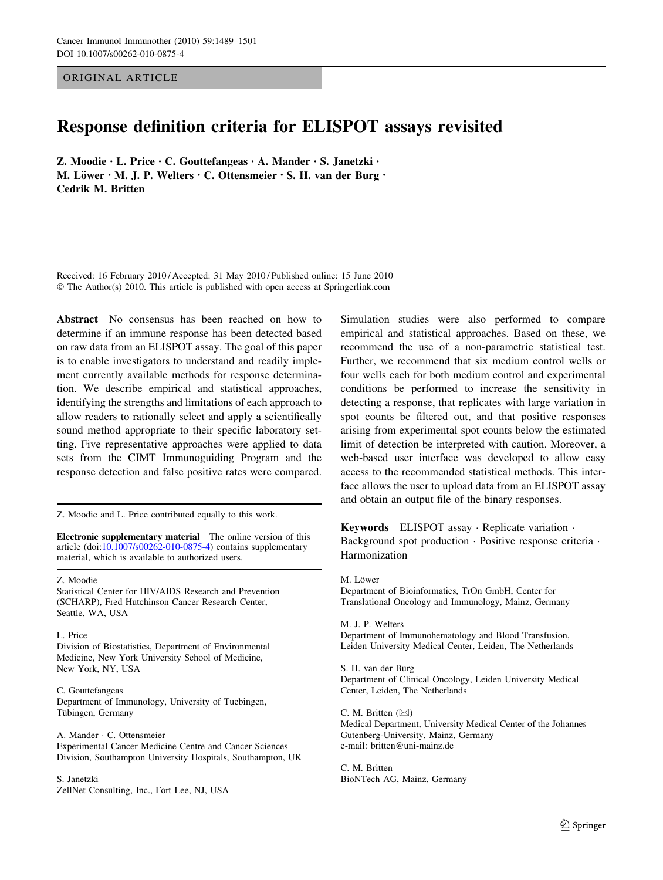ORIGINAL ARTICLE

# Response definition criteria for ELISPOT assays revisited

Z. Moodie • L. Price • C. Gouttefangeas • A. Mander • S. Janetzki • M. Löwer · M. J. P. Welters · C. Ottensmeier · S. H. van der Burg · Cedrik M. Britten

Received: 16 February 2010 / Accepted: 31 May 2010 / Published online: 15 June 2010 © The Author(s) 2010. This article is published with open access at Springerlink.com

Abstract No consensus has been reached on how to determine if an immune response has been detected based on raw data from an ELISPOT assay. The goal of this paper is to enable investigators to understand and readily implement currently available methods for response determination. We describe empirical and statistical approaches, identifying the strengths and limitations of each approach to allow readers to rationally select and apply a scientifically sound method appropriate to their specific laboratory setting. Five representative approaches were applied to data sets from the CIMT Immunoguiding Program and the response detection and false positive rates were compared.

Z. Moodie and L. Price contributed equally to this work.

Electronic supplementary material The online version of this article (doi:[10.1007/s00262-010-0875-4\)](http://dx.doi.org/10.1007/s00262-010-0875-4) contains supplementary material, which is available to authorized users.

#### Z. Moodie

Statistical Center for HIV/AIDS Research and Prevention (SCHARP), Fred Hutchinson Cancer Research Center, Seattle, WA, USA

#### L. Price

Division of Biostatistics, Department of Environmental Medicine, New York University School of Medicine, New York, NY, USA

C. Gouttefangeas Department of Immunology, University of Tuebingen, Tübingen, Germany

A. Mander - C. Ottensmeier Experimental Cancer Medicine Centre and Cancer Sciences Division, Southampton University Hospitals, Southampton, UK

S. Janetzki ZellNet Consulting, Inc., Fort Lee, NJ, USA Simulation studies were also performed to compare empirical and statistical approaches. Based on these, we recommend the use of a non-parametric statistical test. Further, we recommend that six medium control wells or four wells each for both medium control and experimental conditions be performed to increase the sensitivity in detecting a response, that replicates with large variation in spot counts be filtered out, and that positive responses arising from experimental spot counts below the estimated limit of detection be interpreted with caution. Moreover, a web-based user interface was developed to allow easy access to the recommended statistical methods. This interface allows the user to upload data from an ELISPOT assay and obtain an output file of the binary responses.

Keywords ELISPOT assay - Replicate variation - Background spot production · Positive response criteria · Harmonization

M. Löwer Department of Bioinformatics, TrOn GmbH, Center for Translational Oncology and Immunology, Mainz, Germany

M. J. P. Welters Department of Immunohematology and Blood Transfusion, Leiden University Medical Center, Leiden, The Netherlands

S. H. van der Burg Department of Clinical Oncology, Leiden University Medical Center, Leiden, The Netherlands

C. M. Britten  $(\boxtimes)$ Medical Department, University Medical Center of the Johannes Gutenberg-University, Mainz, Germany e-mail: britten@uni-mainz.de

C. M. Britten BioNTech AG, Mainz, Germany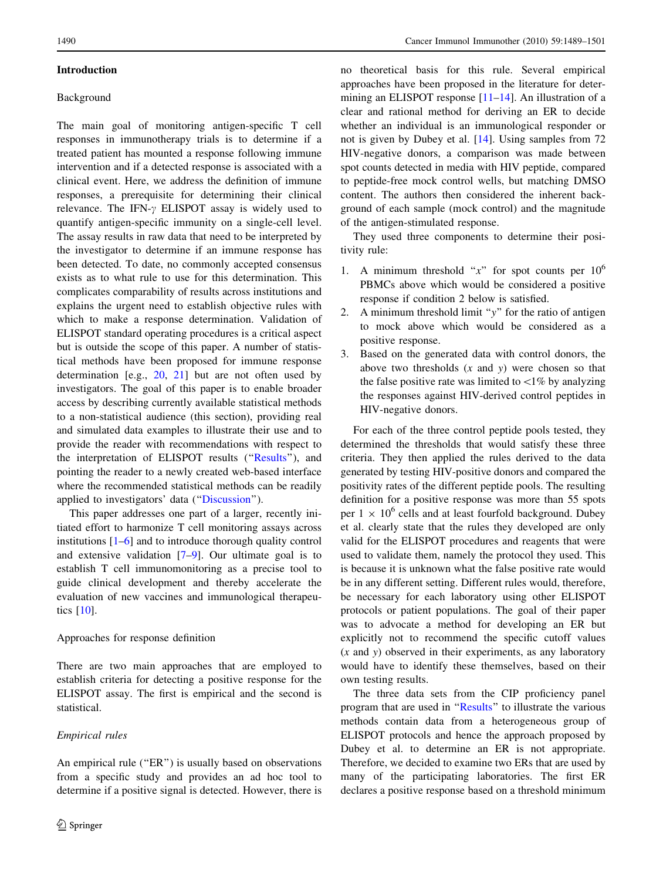### Introduction

# Background

The main goal of monitoring antigen-specific T cell responses in immunotherapy trials is to determine if a treated patient has mounted a response following immune intervention and if a detected response is associated with a clinical event. Here, we address the definition of immune responses, a prerequisite for determining their clinical relevance. The IFN- $\gamma$  ELISPOT assay is widely used to quantify antigen-specific immunity on a single-cell level. The assay results in raw data that need to be interpreted by the investigator to determine if an immune response has been detected. To date, no commonly accepted consensus exists as to what rule to use for this determination. This complicates comparability of results across institutions and explains the urgent need to establish objective rules with which to make a response determination. Validation of ELISPOT standard operating procedures is a critical aspect but is outside the scope of this paper. A number of statistical methods have been proposed for immune response determination [e.g., [20](#page-12-0), [21\]](#page-12-0) but are not often used by investigators. The goal of this paper is to enable broader access by describing currently available statistical methods to a non-statistical audience (this section), providing real and simulated data examples to illustrate their use and to provide the reader with recommendations with respect to the interpretation of ELISPOT results ('['Results'](#page-4-0)'), and pointing the reader to a newly created web-based interface where the recommended statistical methods can be readily applied to investigators' data (''[Discussion](#page-10-0)'').

This paper addresses one part of a larger, recently initiated effort to harmonize T cell monitoring assays across institutions  $[1-6]$  $[1-6]$  and to introduce thorough quality control and extensive validation  $[7-9]$ . Our ultimate goal is to establish T cell immunomonitoring as a precise tool to guide clinical development and thereby accelerate the evaluation of new vaccines and immunological therapeutics [[10\]](#page-12-0).

#### Approaches for response definition

There are two main approaches that are employed to establish criteria for detecting a positive response for the ELISPOT assay. The first is empirical and the second is statistical.

## Empirical rules

An empirical rule ("ER") is usually based on observations from a specific study and provides an ad hoc tool to determine if a positive signal is detected. However, there is no theoretical basis for this rule. Several empirical approaches have been proposed in the literature for determining an ELISPOT response [[11–14\]](#page-12-0). An illustration of a clear and rational method for deriving an ER to decide whether an individual is an immunological responder or not is given by Dubey et al. [\[14](#page-12-0)]. Using samples from 72 HIV-negative donors, a comparison was made between spot counts detected in media with HIV peptide, compared to peptide-free mock control wells, but matching DMSO content. The authors then considered the inherent background of each sample (mock control) and the magnitude of the antigen-stimulated response.

They used three components to determine their positivity rule:

- 1. A minimum threshold " $x$ " for spot counts per  $10^6$ PBMCs above which would be considered a positive response if condition 2 below is satisfied.
- 2. A minimum threshold limit ''y'' for the ratio of antigen to mock above which would be considered as a positive response.
- 3. Based on the generated data with control donors, the above two thresholds  $(x \text{ and } y)$  were chosen so that the false positive rate was limited to  $\langle 1\%$  by analyzing the responses against HIV-derived control peptides in HIV-negative donors.

For each of the three control peptide pools tested, they determined the thresholds that would satisfy these three criteria. They then applied the rules derived to the data generated by testing HIV-positive donors and compared the positivity rates of the different peptide pools. The resulting definition for a positive response was more than 55 spots per  $1 \times 10^6$  cells and at least fourfold background. Dubey et al. clearly state that the rules they developed are only valid for the ELISPOT procedures and reagents that were used to validate them, namely the protocol they used. This is because it is unknown what the false positive rate would be in any different setting. Different rules would, therefore, be necessary for each laboratory using other ELISPOT protocols or patient populations. The goal of their paper was to advocate a method for developing an ER but explicitly not to recommend the specific cutoff values (x and y) observed in their experiments, as any laboratory would have to identify these themselves, based on their own testing results.

The three data sets from the CIP proficiency panel program that are used in '['Results'](#page-4-0)' to illustrate the various methods contain data from a heterogeneous group of ELISPOT protocols and hence the approach proposed by Dubey et al. to determine an ER is not appropriate. Therefore, we decided to examine two ERs that are used by many of the participating laboratories. The first ER declares a positive response based on a threshold minimum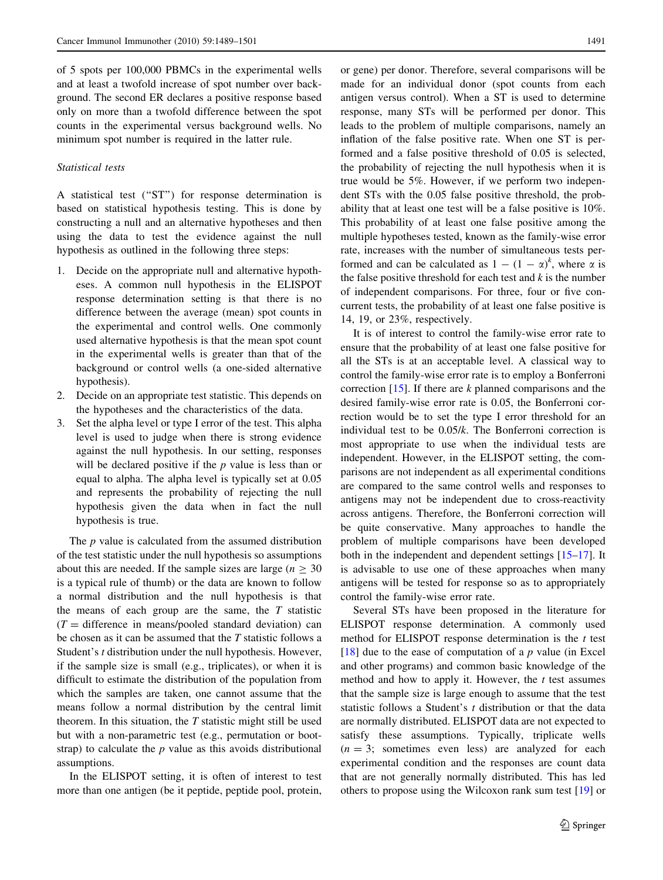of 5 spots per 100,000 PBMCs in the experimental wells and at least a twofold increase of spot number over background. The second ER declares a positive response based only on more than a twofold difference between the spot counts in the experimental versus background wells. No minimum spot number is required in the latter rule.

# Statistical tests

A statistical test (''ST'') for response determination is based on statistical hypothesis testing. This is done by constructing a null and an alternative hypotheses and then using the data to test the evidence against the null hypothesis as outlined in the following three steps:

- 1. Decide on the appropriate null and alternative hypotheses. A common null hypothesis in the ELISPOT response determination setting is that there is no difference between the average (mean) spot counts in the experimental and control wells. One commonly used alternative hypothesis is that the mean spot count in the experimental wells is greater than that of the background or control wells (a one-sided alternative hypothesis).
- 2. Decide on an appropriate test statistic. This depends on the hypotheses and the characteristics of the data.
- 3. Set the alpha level or type I error of the test. This alpha level is used to judge when there is strong evidence against the null hypothesis. In our setting, responses will be declared positive if the  $p$  value is less than or equal to alpha. The alpha level is typically set at 0.05 and represents the probability of rejecting the null hypothesis given the data when in fact the null hypothesis is true.

The *p* value is calculated from the assumed distribution of the test statistic under the null hypothesis so assumptions about this are needed. If the sample sizes are large ( $n \geq 30$ is a typical rule of thumb) or the data are known to follow a normal distribution and the null hypothesis is that the means of each group are the same, the  $T$  statistic  $(T =$  difference in means/pooled standard deviation) can be chosen as it can be assumed that the  $T$  statistic follows a Student's t distribution under the null hypothesis. However, if the sample size is small (e.g., triplicates), or when it is difficult to estimate the distribution of the population from which the samples are taken, one cannot assume that the means follow a normal distribution by the central limit theorem. In this situation, the  $T$  statistic might still be used but with a non-parametric test (e.g., permutation or bootstrap) to calculate the  $p$  value as this avoids distributional assumptions.

In the ELISPOT setting, it is often of interest to test more than one antigen (be it peptide, peptide pool, protein, or gene) per donor. Therefore, several comparisons will be made for an individual donor (spot counts from each antigen versus control). When a ST is used to determine response, many STs will be performed per donor. This leads to the problem of multiple comparisons, namely an inflation of the false positive rate. When one ST is performed and a false positive threshold of 0.05 is selected, the probability of rejecting the null hypothesis when it is true would be 5%. However, if we perform two independent STs with the 0.05 false positive threshold, the probability that at least one test will be a false positive is 10%. This probability of at least one false positive among the multiple hypotheses tested, known as the family-wise error rate, increases with the number of simultaneous tests performed and can be calculated as  $1 - (1 - \alpha)^k$ , where  $\alpha$  is the false positive threshold for each test and  $k$  is the number of independent comparisons. For three, four or five concurrent tests, the probability of at least one false positive is 14, 19, or 23%, respectively.

It is of interest to control the family-wise error rate to ensure that the probability of at least one false positive for all the STs is at an acceptable level. A classical way to control the family-wise error rate is to employ a Bonferroni correction  $[15]$  $[15]$ . If there are k planned comparisons and the desired family-wise error rate is 0.05, the Bonferroni correction would be to set the type I error threshold for an individual test to be 0.05/k. The Bonferroni correction is most appropriate to use when the individual tests are independent. However, in the ELISPOT setting, the comparisons are not independent as all experimental conditions are compared to the same control wells and responses to antigens may not be independent due to cross-reactivity across antigens. Therefore, the Bonferroni correction will be quite conservative. Many approaches to handle the problem of multiple comparisons have been developed both in the independent and dependent settings [\[15–17](#page-12-0)]. It is advisable to use one of these approaches when many antigens will be tested for response so as to appropriately control the family-wise error rate.

Several STs have been proposed in the literature for ELISPOT response determination. A commonly used method for ELISPOT response determination is the  $t$  test [\[18](#page-12-0)] due to the ease of computation of a  $p$  value (in Excel and other programs) and common basic knowledge of the method and how to apply it. However, the  $t$  test assumes that the sample size is large enough to assume that the test statistic follows a Student's  $t$  distribution or that the data are normally distributed. ELISPOT data are not expected to satisfy these assumptions. Typically, triplicate wells  $(n = 3;$  sometimes even less) are analyzed for each experimental condition and the responses are count data that are not generally normally distributed. This has led others to propose using the Wilcoxon rank sum test [[19\]](#page-12-0) or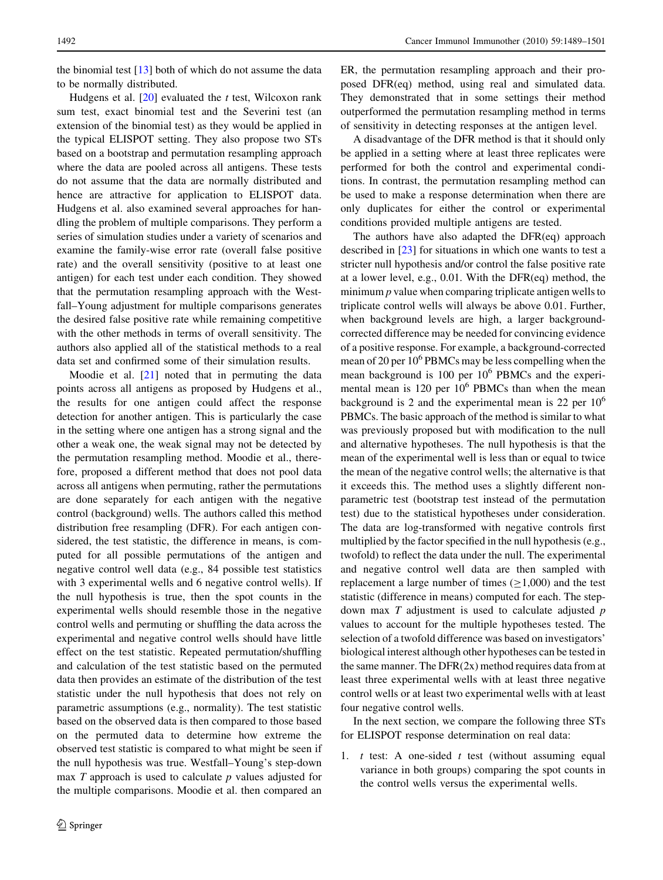the binomial test  $[13]$  $[13]$  both of which do not assume the data to be normally distributed.

Hudgens et al.  $[20]$  $[20]$  evaluated the t test, Wilcoxon rank sum test, exact binomial test and the Severini test (an extension of the binomial test) as they would be applied in the typical ELISPOT setting. They also propose two STs based on a bootstrap and permutation resampling approach where the data are pooled across all antigens. These tests do not assume that the data are normally distributed and hence are attractive for application to ELISPOT data. Hudgens et al. also examined several approaches for handling the problem of multiple comparisons. They perform a series of simulation studies under a variety of scenarios and examine the family-wise error rate (overall false positive rate) and the overall sensitivity (positive to at least one antigen) for each test under each condition. They showed that the permutation resampling approach with the Westfall–Young adjustment for multiple comparisons generates the desired false positive rate while remaining competitive with the other methods in terms of overall sensitivity. The authors also applied all of the statistical methods to a real data set and confirmed some of their simulation results.

Moodie et al. [\[21](#page-12-0)] noted that in permuting the data points across all antigens as proposed by Hudgens et al., the results for one antigen could affect the response detection for another antigen. This is particularly the case in the setting where one antigen has a strong signal and the other a weak one, the weak signal may not be detected by the permutation resampling method. Moodie et al., therefore, proposed a different method that does not pool data across all antigens when permuting, rather the permutations are done separately for each antigen with the negative control (background) wells. The authors called this method distribution free resampling (DFR). For each antigen considered, the test statistic, the difference in means, is computed for all possible permutations of the antigen and negative control well data (e.g., 84 possible test statistics with 3 experimental wells and 6 negative control wells). If the null hypothesis is true, then the spot counts in the experimental wells should resemble those in the negative control wells and permuting or shuffling the data across the experimental and negative control wells should have little effect on the test statistic. Repeated permutation/shuffling and calculation of the test statistic based on the permuted data then provides an estimate of the distribution of the test statistic under the null hypothesis that does not rely on parametric assumptions (e.g., normality). The test statistic based on the observed data is then compared to those based on the permuted data to determine how extreme the observed test statistic is compared to what might be seen if the null hypothesis was true. Westfall–Young's step-down max  $T$  approach is used to calculate  $p$  values adjusted for the multiple comparisons. Moodie et al. then compared an ER, the permutation resampling approach and their proposed DFR(eq) method, using real and simulated data. They demonstrated that in some settings their method outperformed the permutation resampling method in terms of sensitivity in detecting responses at the antigen level.

A disadvantage of the DFR method is that it should only be applied in a setting where at least three replicates were performed for both the control and experimental conditions. In contrast, the permutation resampling method can be used to make a response determination when there are only duplicates for either the control or experimental conditions provided multiple antigens are tested.

The authors have also adapted the DFR(eq) approach described in [[23\]](#page-12-0) for situations in which one wants to test a stricter null hypothesis and/or control the false positive rate at a lower level, e.g., 0.01. With the DFR(eq) method, the minimum  $p$  value when comparing triplicate antigen wells to triplicate control wells will always be above 0.01. Further, when background levels are high, a larger backgroundcorrected difference may be needed for convincing evidence of a positive response. For example, a background-corrected mean of 20 per  $10<sup>6</sup>$  PBMCs may be less compelling when the mean background is  $100$  per  $10<sup>6</sup>$  PBMCs and the experimental mean is  $120$  per  $10<sup>6</sup>$  PBMCs than when the mean background is 2 and the experimental mean is 22 per  $10<sup>6</sup>$ PBMCs. The basic approach of the method is similar to what was previously proposed but with modification to the null and alternative hypotheses. The null hypothesis is that the mean of the experimental well is less than or equal to twice the mean of the negative control wells; the alternative is that it exceeds this. The method uses a slightly different nonparametric test (bootstrap test instead of the permutation test) due to the statistical hypotheses under consideration. The data are log-transformed with negative controls first multiplied by the factor specified in the null hypothesis (e.g., twofold) to reflect the data under the null. The experimental and negative control well data are then sampled with replacement a large number of times  $(\geq 1,000)$  and the test statistic (difference in means) computed for each. The stepdown max  $T$  adjustment is used to calculate adjusted  $p$ values to account for the multiple hypotheses tested. The selection of a twofold difference was based on investigators' biological interest although other hypotheses can be tested in the same manner. The  $DFR(2x)$  method requires data from at least three experimental wells with at least three negative control wells or at least two experimental wells with at least four negative control wells.

In the next section, we compare the following three STs for ELISPOT response determination on real data:

1.  $t$  test: A one-sided  $t$  test (without assuming equal variance in both groups) comparing the spot counts in the control wells versus the experimental wells.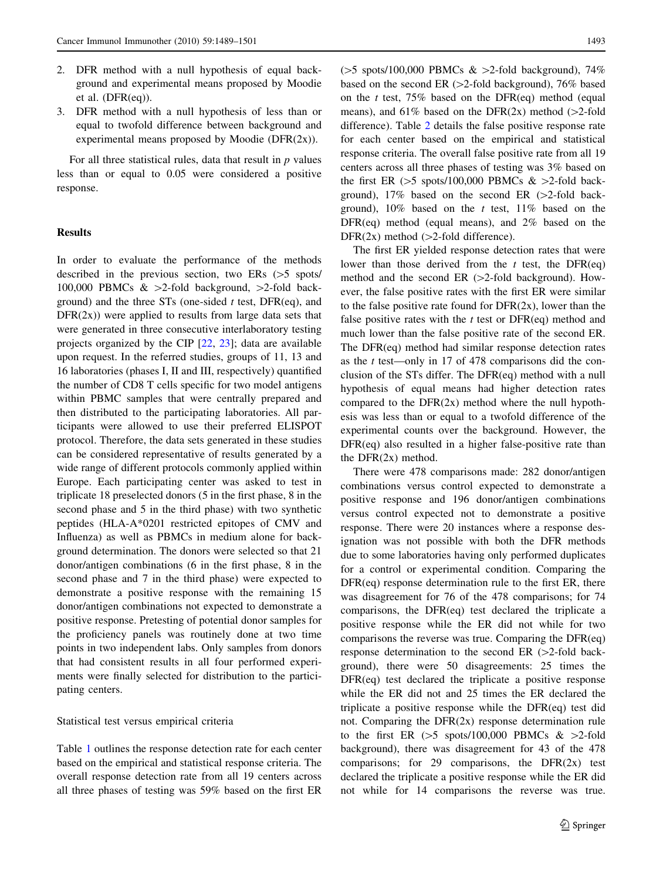- <span id="page-4-0"></span>2. DFR method with a null hypothesis of equal background and experimental means proposed by Moodie et al.  $(DFR(eq))$ .
- 3. DFR method with a null hypothesis of less than or equal to twofold difference between background and experimental means proposed by Moodie (DFR(2x)).

For all three statistical rules, data that result in  *values* less than or equal to 0.05 were considered a positive response.

## **Results**

In order to evaluate the performance of the methods described in the previous section, two ERs  $(>= 5$  spots/ 100,000 PBMCs  $\&$  >2-fold background, >2-fold background) and the three  $STs$  (one-sided t test,  $DFR(eq)$ , and  $DFR(2x)$ ) were applied to results from large data sets that were generated in three consecutive interlaboratory testing projects organized by the CIP [\[22](#page-12-0), [23](#page-12-0)]; data are available upon request. In the referred studies, groups of 11, 13 and 16 laboratories (phases I, II and III, respectively) quantified the number of CD8 T cells specific for two model antigens within PBMC samples that were centrally prepared and then distributed to the participating laboratories. All participants were allowed to use their preferred ELISPOT protocol. Therefore, the data sets generated in these studies can be considered representative of results generated by a wide range of different protocols commonly applied within Europe. Each participating center was asked to test in triplicate 18 preselected donors (5 in the first phase, 8 in the second phase and 5 in the third phase) with two synthetic peptides (HLA-A\*0201 restricted epitopes of CMV and Influenza) as well as PBMCs in medium alone for background determination. The donors were selected so that 21 donor/antigen combinations (6 in the first phase, 8 in the second phase and 7 in the third phase) were expected to demonstrate a positive response with the remaining 15 donor/antigen combinations not expected to demonstrate a positive response. Pretesting of potential donor samples for the proficiency panels was routinely done at two time points in two independent labs. Only samples from donors that had consistent results in all four performed experiments were finally selected for distribution to the participating centers.

# Statistical test versus empirical criteria

Table [1](#page-5-0) outlines the response detection rate for each center based on the empirical and statistical response criteria. The overall response detection rate from all 19 centers across all three phases of testing was 59% based on the first ER ( $>5$  spots/100,000 PBMCs &  $>2$ -fold background), 74% based on the second ER ( $>2$ -fold background), 76% based on the t test,  $75\%$  based on the DFR(eq) method (equal means), and  $61\%$  based on the DFR(2x) method ( $>2$ -fold difference). Table [2](#page-6-0) details the false positive response rate for each center based on the empirical and statistical response criteria. The overall false positive rate from all 19 centers across all three phases of testing was 3% based on the first ER ( $>$ 5 spots/100,000 PBMCs &  $>$ 2-fold background),  $17\%$  based on the second ER ( $>2$ -fold background),  $10\%$  based on the t test,  $11\%$  based on the  $DFR(eq)$  method (equal means), and  $2\%$  based on the  $DFR(2x)$  method ( $>2$ -fold difference).

The first ER yielded response detection rates that were lower than those derived from the  $t$  test, the DFR(eq) method and the second ER  $(>2$ -fold background). However, the false positive rates with the first ER were similar to the false positive rate found for  $DFR(2x)$ , lower than the false positive rates with the  $t$  test or DFR(eq) method and much lower than the false positive rate of the second ER. The DFR(eq) method had similar response detection rates as the t test—only in 17 of 478 comparisons did the conclusion of the STs differ. The DFR(eq) method with a null hypothesis of equal means had higher detection rates compared to the  $DFR(2x)$  method where the null hypothesis was less than or equal to a twofold difference of the experimental counts over the background. However, the DFR(eq) also resulted in a higher false-positive rate than the DFR(2x) method.

There were 478 comparisons made: 282 donor/antigen combinations versus control expected to demonstrate a positive response and 196 donor/antigen combinations versus control expected not to demonstrate a positive response. There were 20 instances where a response designation was not possible with both the DFR methods due to some laboratories having only performed duplicates for a control or experimental condition. Comparing the DFR(eq) response determination rule to the first ER, there was disagreement for 76 of the 478 comparisons; for 74 comparisons, the DFR(eq) test declared the triplicate a positive response while the ER did not while for two comparisons the reverse was true. Comparing the DFR(eq) response determination to the second ER  $(>=2$ -fold background), there were 50 disagreements: 25 times the DFR(eq) test declared the triplicate a positive response while the ER did not and 25 times the ER declared the triplicate a positive response while the DFR(eq) test did not. Comparing the DFR(2x) response determination rule to the first ER  $(>5$  spots/100,000 PBMCs &  $>2$ -fold background), there was disagreement for 43 of the 478 comparisons; for 29 comparisons, the DFR(2x) test declared the triplicate a positive response while the ER did not while for 14 comparisons the reverse was true.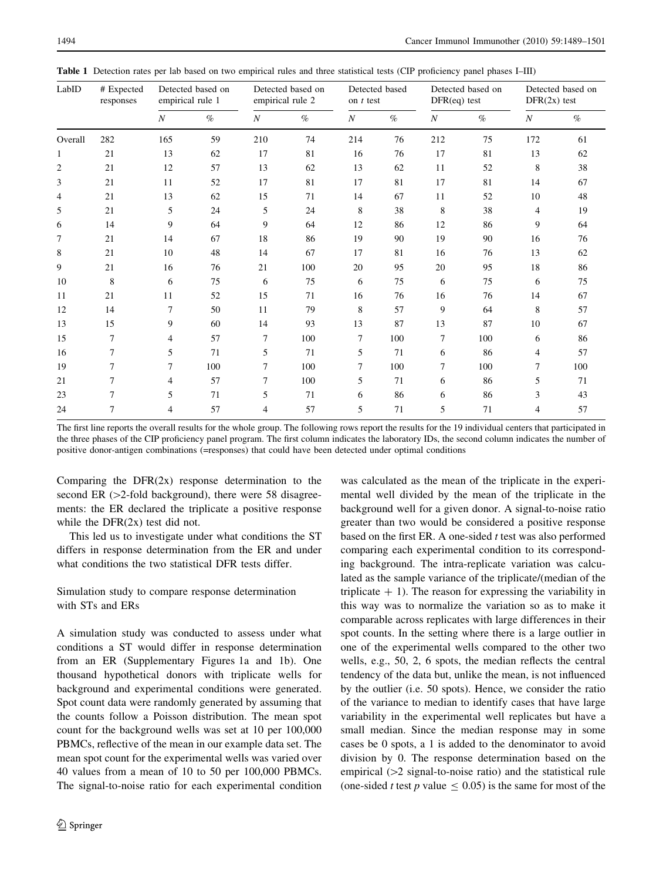| LabID          | # Expected<br>responses | Detected based on<br>empirical rule 1 |      | Detected based on<br>empirical rule 2 |      | Detected based<br>on $t$ test |      | Detected based on<br>DFR(eq) test |      | Detected based on<br>$DFR(2x)$ test |      |
|----------------|-------------------------|---------------------------------------|------|---------------------------------------|------|-------------------------------|------|-----------------------------------|------|-------------------------------------|------|
|                |                         | $\boldsymbol{N}$                      | $\%$ | $\boldsymbol{N}$                      | $\%$ | $\boldsymbol{N}$              | $\%$ | $\boldsymbol{N}$                  | $\%$ | $\boldsymbol{N}$                    | $\%$ |
| Overall        | 282                     | 165                                   | 59   | 210                                   | 74   | 214                           | 76   | 212                               | 75   | 172                                 | 61   |
| 1              | 21                      | 13                                    | 62   | 17                                    | 81   | 16                            | 76   | 17                                | 81   | 13                                  | 62   |
| $\overline{2}$ | 21                      | 12                                    | 57   | 13                                    | 62   | 13                            | 62   | 11                                | 52   | 8                                   | 38   |
| 3              | 21                      | 11                                    | 52   | 17                                    | 81   | 17                            | 81   | 17                                | 81   | 14                                  | 67   |
| $\overline{4}$ | 21                      | 13                                    | 62   | 15                                    | 71   | 14                            | 67   | 11                                | 52   | 10                                  | 48   |
| 5              | 21                      | 5                                     | 24   | 5                                     | 24   | 8                             | 38   | 8                                 | 38   | $\overline{4}$                      | 19   |
| 6              | 14                      | 9                                     | 64   | 9                                     | 64   | 12                            | 86   | 12                                | 86   | 9                                   | 64   |
| $\overline{7}$ | 21                      | 14                                    | 67   | 18                                    | 86   | 19                            | 90   | 19                                | 90   | 16                                  | 76   |
| 8              | 21                      | 10                                    | 48   | 14                                    | 67   | 17                            | 81   | 16                                | 76   | 13                                  | 62   |
| 9              | 21                      | 16                                    | 76   | 21                                    | 100  | 20                            | 95   | 20                                | 95   | 18                                  | 86   |
| 10             | 8                       | 6                                     | 75   | 6                                     | 75   | 6                             | 75   | 6                                 | 75   | 6                                   | 75   |
| 11             | 21                      | 11                                    | 52   | 15                                    | 71   | 16                            | 76   | 16                                | 76   | 14                                  | 67   |
| 12             | 14                      | 7                                     | 50   | 11                                    | 79   | 8                             | 57   | 9                                 | 64   | 8                                   | 57   |
| 13             | 15                      | 9                                     | 60   | 14                                    | 93   | 13                            | 87   | 13                                | 87   | 10                                  | 67   |
| 15             | 7                       | 4                                     | 57   | 7                                     | 100  | 7                             | 100  | 7                                 | 100  | 6                                   | 86   |
| 16             | $\tau$                  | 5                                     | 71   | 5                                     | 71   | 5                             | 71   | 6                                 | 86   | $\overline{4}$                      | 57   |
| 19             | 7                       | 7                                     | 100  | 7                                     | 100  | 7                             | 100  | 7                                 | 100  | 7                                   | 100  |
| 21             | 7                       | 4                                     | 57   | 7                                     | 100  | 5                             | 71   | 6                                 | 86   | 5                                   | 71   |
| 23             | $\overline{7}$          | 5                                     | 71   | 5                                     | 71   | 6                             | 86   | 6                                 | 86   | 3                                   | 43   |
| 24             | 7                       | 4                                     | 57   | 4                                     | 57   | 5                             | 71   | 5                                 | 71   | $\overline{4}$                      | 57   |

<span id="page-5-0"></span>Table 1 Detection rates per lab based on two empirical rules and three statistical tests (CIP proficiency panel phases I–III)

The first line reports the overall results for the whole group. The following rows report the results for the 19 individual centers that participated in the three phases of the CIP proficiency panel program. The first column indicates the laboratory IDs, the second column indicates the number of positive donor-antigen combinations (=responses) that could have been detected under optimal conditions

Comparing the  $DFR(2x)$  response determination to the second ER  $(>2$ -fold background), there were 58 disagreements: the ER declared the triplicate a positive response while the DFR(2x) test did not.

This led us to investigate under what conditions the ST differs in response determination from the ER and under what conditions the two statistical DFR tests differ.

Simulation study to compare response determination with STs and ERs

A simulation study was conducted to assess under what conditions a ST would differ in response determination from an ER (Supplementary Figures 1a and 1b). One thousand hypothetical donors with triplicate wells for background and experimental conditions were generated. Spot count data were randomly generated by assuming that the counts follow a Poisson distribution. The mean spot count for the background wells was set at 10 per 100,000 PBMCs, reflective of the mean in our example data set. The mean spot count for the experimental wells was varied over 40 values from a mean of 10 to 50 per 100,000 PBMCs. The signal-to-noise ratio for each experimental condition

was calculated as the mean of the triplicate in the experimental well divided by the mean of the triplicate in the background well for a given donor. A signal-to-noise ratio greater than two would be considered a positive response based on the first ER. A one-sided  $t$  test was also performed comparing each experimental condition to its corresponding background. The intra-replicate variation was calculated as the sample variance of the triplicate/(median of the triplicate  $+1$ ). The reason for expressing the variability in this way was to normalize the variation so as to make it comparable across replicates with large differences in their spot counts. In the setting where there is a large outlier in one of the experimental wells compared to the other two wells, e.g., 50, 2, 6 spots, the median reflects the central tendency of the data but, unlike the mean, is not influenced by the outlier (i.e. 50 spots). Hence, we consider the ratio of the variance to median to identify cases that have large variability in the experimental well replicates but have a small median. Since the median response may in some cases be 0 spots, a 1 is added to the denominator to avoid division by 0. The response determination based on the empirical  $(>=2$  signal-to-noise ratio) and the statistical rule (one-sided t test p value  $\leq 0.05$ ) is the same for most of the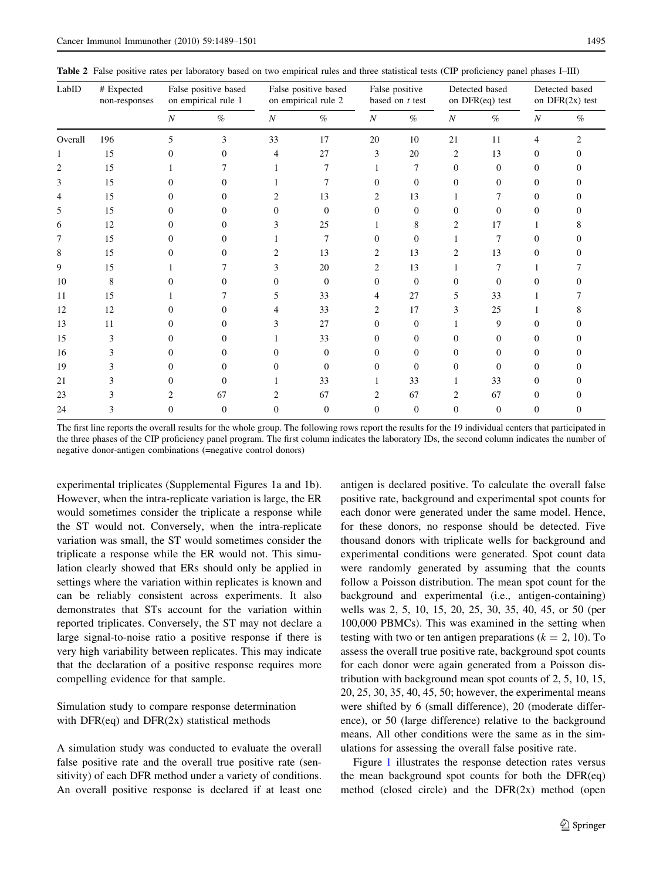<span id="page-6-0"></span>Table 2 False positive rates per laboratory based on two empirical rules and three statistical tests (CIP proficiency panel phases I–III)

| LabID   | # Expected<br>non-responses | False positive based<br>on empirical rule 1 |          | False positive based<br>on empirical rule 2 |                | False positive<br>based on $t$ test |              | Detected based<br>on DFR(eq) test |              | Detected based<br>on $DFR(2x)$ test |                |
|---------|-----------------------------|---------------------------------------------|----------|---------------------------------------------|----------------|-------------------------------------|--------------|-----------------------------------|--------------|-------------------------------------|----------------|
|         |                             | $\boldsymbol{N}$                            | $\%$     | $\boldsymbol{N}$                            | $\%$           | $\boldsymbol{N}$                    | $\%$         | $\cal N$                          | $\%$         | $\boldsymbol{N}$                    | $\%$           |
| Overall | 196                         | 5                                           | 3        | 33                                          | 17             | 20                                  | 10           | 21                                | 11           | 4                                   | $\overline{c}$ |
| 1       | 15                          | $\Omega$                                    | 0        | 4                                           | 27             | 3                                   | 20           | 2                                 | 13           | $\Omega$                            | 0              |
| 2       | 15                          |                                             |          |                                             | 7              |                                     | $\tau$       | $\overline{0}$                    | $\Omega$     | $\Omega$                            | 0              |
| 3       | 15                          | $\Omega$                                    | 0        |                                             | 7              | 0                                   | $\mathbf{0}$ | $\Omega$                          | 0            | $\Omega$                            | 0              |
| 4       | 15                          | 0                                           | 0        | 2                                           | 13             | 2                                   | 13           |                                   | 7            | $\theta$                            | 0              |
| 5       | 15                          | $\Omega$                                    | 0        | $\Omega$                                    | $\Omega$       | $\Omega$                            | $\mathbf{0}$ | $\Omega$                          | $\Omega$     | $\Omega$                            |                |
| 6       | 12                          | 0                                           | 0        | 3                                           | 25             |                                     | 8            | 2                                 | 17           |                                     |                |
| 7       | 15                          | $\Omega$                                    | 0        |                                             | $\overline{7}$ | 0                                   | $\Omega$     | 1                                 | 7            | $\Omega$                            |                |
| 8       | 15                          | 0                                           | 0        | 2                                           | 13             | 2                                   | 13           | 2                                 | 13           | $\Omega$                            |                |
| 9       | 15                          |                                             |          | 3                                           | 20             | 2                                   | 13           |                                   | 7            |                                     |                |
| 10      | 8                           | 0                                           | 0        | 0                                           | $\Omega$       | $\Omega$                            | $\mathbf{0}$ | $\overline{0}$                    | $\Omega$     | $\Omega$                            | 0              |
| 11      | 15                          |                                             |          | 5                                           | 33             | 4                                   | 27           | 5                                 | 33           |                                     |                |
| 12      | 12                          | 0                                           | 0        | 4                                           | 33             | 2                                   | 17           | 3                                 | 25           |                                     | 8              |
| 13      | 11                          | 0                                           | 0        | 3                                           | 27             | $\Omega$                            | $\Omega$     |                                   | 9            | $\Omega$                            |                |
| 15      | 3                           | $\Omega$                                    | 0        |                                             | 33             | $\Omega$                            | $\Omega$     | $\Omega$                          | $\Omega$     | $\Omega$                            |                |
| 16      | 3                           | 0                                           | 0        | 0                                           | $\Omega$       | 0                                   | $\Omega$     | $\Omega$                          | $\Omega$     | $\Omega$                            | 0              |
| 19      | 3                           | $\Omega$                                    | 0        | 0                                           | $\Omega$       | $\Omega$                            | $\Omega$     | $\overline{0}$                    | $\Omega$     | $\Omega$                            | 0              |
| 21      | 3                           | 0                                           | 0        |                                             | 33             |                                     | 33           | 1                                 | 33           | $\Omega$                            | 0              |
| 23      |                             | 2                                           | 67       | 2                                           | 67             | 2                                   | 67           | 2                                 | 67           | $\Omega$                            |                |
| 24      | 3                           | $\Omega$                                    | $\Omega$ | $\Omega$                                    | $\Omega$       | $\Omega$                            | $\Omega$     | $\Omega$                          | $\mathbf{0}$ | $\mathbf{0}$                        | 0              |

The first line reports the overall results for the whole group. The following rows report the results for the 19 individual centers that participated in the three phases of the CIP proficiency panel program. The first column indicates the laboratory IDs, the second column indicates the number of negative donor-antigen combinations (=negative control donors)

experimental triplicates (Supplemental Figures 1a and 1b). However, when the intra-replicate variation is large, the ER would sometimes consider the triplicate a response while the ST would not. Conversely, when the intra-replicate variation was small, the ST would sometimes consider the triplicate a response while the ER would not. This simulation clearly showed that ERs should only be applied in settings where the variation within replicates is known and can be reliably consistent across experiments. It also demonstrates that STs account for the variation within reported triplicates. Conversely, the ST may not declare a large signal-to-noise ratio a positive response if there is very high variability between replicates. This may indicate that the declaration of a positive response requires more compelling evidence for that sample.

Simulation study to compare response determination with  $DFR(eq)$  and  $DFR(2x)$  statistical methods

A simulation study was conducted to evaluate the overall false positive rate and the overall true positive rate (sensitivity) of each DFR method under a variety of conditions. An overall positive response is declared if at least one antigen is declared positive. To calculate the overall false positive rate, background and experimental spot counts for each donor were generated under the same model. Hence, for these donors, no response should be detected. Five thousand donors with triplicate wells for background and experimental conditions were generated. Spot count data were randomly generated by assuming that the counts follow a Poisson distribution. The mean spot count for the background and experimental (i.e., antigen-containing) wells was 2, 5, 10, 15, 20, 25, 30, 35, 40, 45, or 50 (per 100,000 PBMCs). This was examined in the setting when testing with two or ten antigen preparations ( $k = 2, 10$ ). To assess the overall true positive rate, background spot counts for each donor were again generated from a Poisson distribution with background mean spot counts of 2, 5, 10, 15, 20, 25, 30, 35, 40, 45, 50; however, the experimental means were shifted by 6 (small difference), 20 (moderate difference), or 50 (large difference) relative to the background means. All other conditions were the same as in the simulations for assessing the overall false positive rate.

Figure [1](#page-7-0) illustrates the response detection rates versus the mean background spot counts for both the DFR(eq) method (closed circle) and the DFR(2x) method (open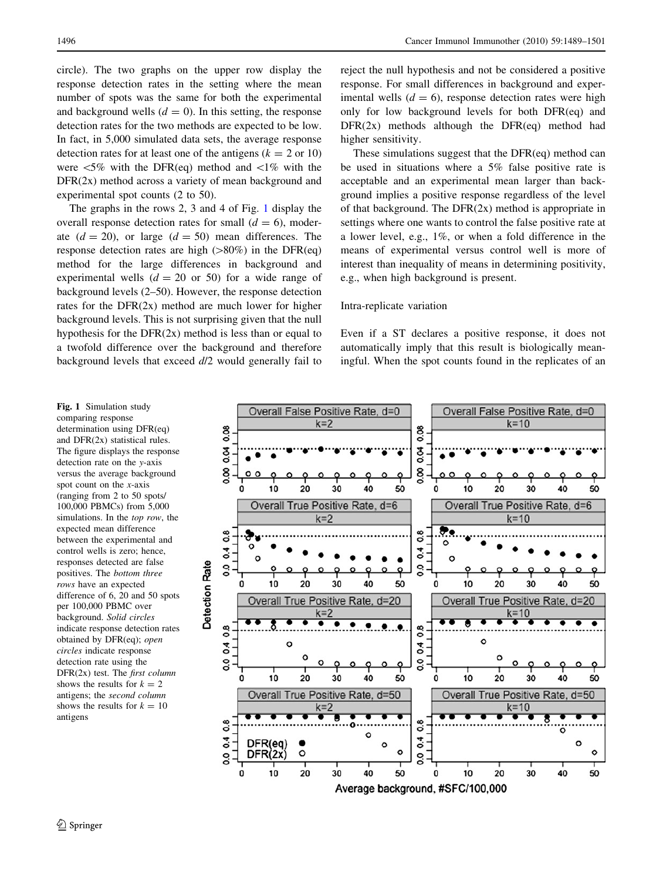<span id="page-7-0"></span>circle). The two graphs on the upper row display the response detection rates in the setting where the mean number of spots was the same for both the experimental and background wells  $(d = 0)$ . In this setting, the response detection rates for the two methods are expected to be low. In fact, in 5,000 simulated data sets, the average response detection rates for at least one of the antigens ( $k = 2$  or 10) were  $\leq 5\%$  with the DFR(eq) method and  $\leq 1\%$  with the DFR(2x) method across a variety of mean background and experimental spot counts (2 to 50).

The graphs in the rows 2, 3 and 4 of Fig. 1 display the overall response detection rates for small  $(d = 6)$ , moderate  $(d = 20)$ , or large  $(d = 50)$  mean differences. The response detection rates are high  $(>80\%)$  in the DFR(eq) method for the large differences in background and experimental wells  $(d = 20 \text{ or } 50)$  for a wide range of background levels (2–50). However, the response detection rates for the  $DFR(2x)$  method are much lower for higher background levels. This is not surprising given that the null hypothesis for the DFR(2x) method is less than or equal to a twofold difference over the background and therefore background levels that exceed d/2 would generally fail to reject the null hypothesis and not be considered a positive response. For small differences in background and experimental wells  $(d = 6)$ , response detection rates were high only for low background levels for both DFR(eq) and  $DFR(2x)$  methods although the  $DFR(eq)$  method had higher sensitivity.

These simulations suggest that the DFR(eq) method can be used in situations where a 5% false positive rate is acceptable and an experimental mean larger than background implies a positive response regardless of the level of that background. The DFR(2x) method is appropriate in settings where one wants to control the false positive rate at a lower level, e.g., 1%, or when a fold difference in the means of experimental versus control well is more of interest than inequality of means in determining positivity, e.g., when high background is present.

# Intra-replicate variation

Even if a ST declares a positive response, it does not automatically imply that this result is biologically meaningful. When the spot counts found in the replicates of an

Fig. 1 Simulation study comparing response determination using DFR(eq) and DFR(2x) statistical rules. The figure displays the response detection rate on the y-axis versus the average background spot count on the  $x$ -axis (ranging from 2 to 50 spots/ 100,000 PBMCs) from 5,000 simulations. In the *top row*, the expected mean difference between the experimental and control wells is zero; hence, responses detected are false positives. The bottom three rows have an expected difference of 6, 20 and 50 spots per 100,000 PBMC over background. Solid circles indicate response detection rates obtained by DFR(eq); open circles indicate response detection rate using the DFR(2x) test. The first column shows the results for  $k = 2$ antigens; the second column shows the results for  $k = 10$ antigens

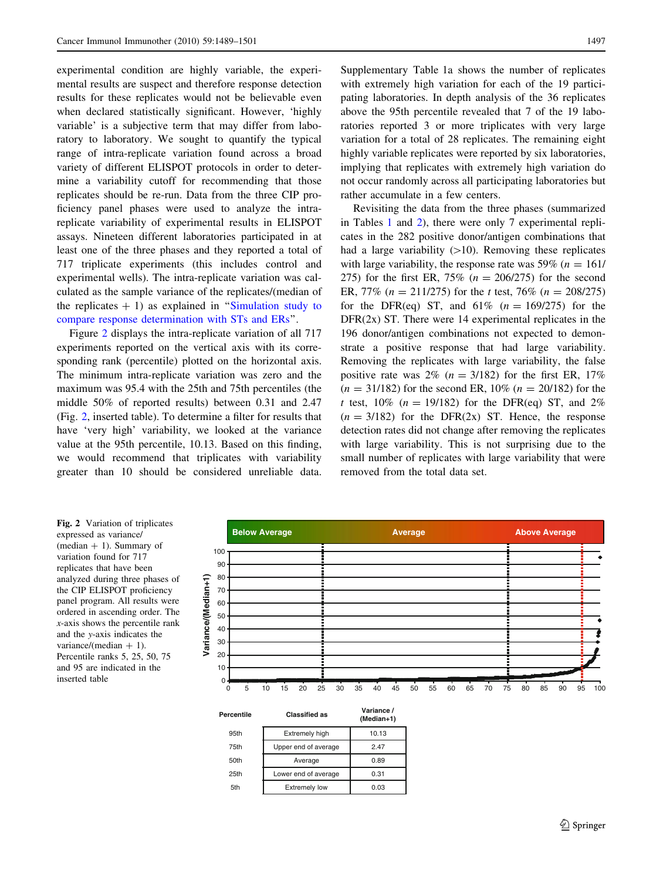<span id="page-8-0"></span>experimental condition are highly variable, the experimental results are suspect and therefore response detection results for these replicates would not be believable even when declared statistically significant. However, 'highly variable' is a subjective term that may differ from laboratory to laboratory. We sought to quantify the typical range of intra-replicate variation found across a broad variety of different ELISPOT protocols in order to determine a variability cutoff for recommending that those replicates should be re-run. Data from the three CIP proficiency panel phases were used to analyze the intrareplicate variability of experimental results in ELISPOT assays. Nineteen different laboratories participated in at least one of the three phases and they reported a total of 717 triplicate experiments (this includes control and experimental wells). The intra-replicate variation was calculated as the sample variance of the replicates/(median of the replicates  $+1$ ) as explained in "[Simulation study to](#page-5-0) [compare response determination with STs and ERs'](#page-5-0)'.

Figure 2 displays the intra-replicate variation of all 717 experiments reported on the vertical axis with its corresponding rank (percentile) plotted on the horizontal axis. The minimum intra-replicate variation was zero and the maximum was 95.4 with the 25th and 75th percentiles (the middle 50% of reported results) between 0.31 and 2.47 (Fig. 2, inserted table). To determine a filter for results that have 'very high' variability, we looked at the variance value at the 95th percentile, 10.13. Based on this finding, we would recommend that triplicates with variability greater than 10 should be considered unreliable data.

Supplementary Table 1a shows the number of replicates with extremely high variation for each of the 19 participating laboratories. In depth analysis of the 36 replicates above the 95th percentile revealed that 7 of the 19 laboratories reported 3 or more triplicates with very large variation for a total of 28 replicates. The remaining eight highly variable replicates were reported by six laboratories, implying that replicates with extremely high variation do not occur randomly across all participating laboratories but rather accumulate in a few centers.

Revisiting the data from the three phases (summarized in Tables [1](#page-5-0) and [2\)](#page-6-0), there were only 7 experimental replicates in the 282 positive donor/antigen combinations that had a large variability  $(>10)$ . Removing these replicates with large variability, the response rate was 59% ( $n = 161/$ 275) for the first ER, 75% ( $n = 206/275$ ) for the second ER, 77% ( $n = 211/275$ ) for the t test, 76% ( $n = 208/275$ ) for the DFR(eq) ST, and  $61\%$  ( $n = 169/275$ ) for the  $DFR(2x)$  ST. There were 14 experimental replicates in the 196 donor/antigen combinations not expected to demonstrate a positive response that had large variability. Removing the replicates with large variability, the false positive rate was  $2\%$  ( $n = 3/182$ ) for the first ER, 17%  $(n = 31/182)$  for the second ER, 10%  $(n = 20/182)$  for the t test,  $10\%$  ( $n = 19/182$ ) for the DFR(eq) ST, and 2%  $(n = 3/182)$  for the DFR(2x) ST. Hence, the response detection rates did not change after removing the replicates with large variability. This is not surprising due to the small number of replicates with large variability that were removed from the total data set.

Fig. 2 Variation of triplicates expressed as variance/ (median  $+1$ ). Summary of variation found for 717 replicates that have been analyzed during three phases of the CIP ELISPOT proficiency panel program. All results were ordered in ascending order. The x-axis shows the percentile rank and the y-axis indicates the variance/(median  $+1$ ). Percentile ranks 5, 25, 50, 75 and 95 are indicated in the inserted table



25th **Lower end of average** 0.31 5th Extremely low 0.03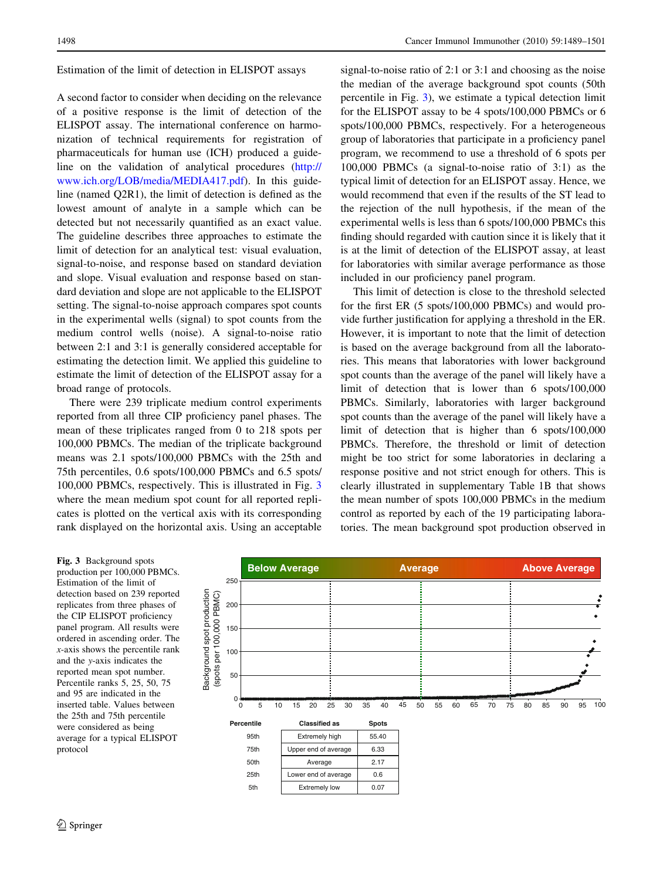#### <span id="page-9-0"></span>Estimation of the limit of detection in ELISPOT assays

A second factor to consider when deciding on the relevance of a positive response is the limit of detection of the ELISPOT assay. The international conference on harmonization of technical requirements for registration of pharmaceuticals for human use (ICH) produced a guideline on the validation of analytical procedures [\(http://](http://www.ich.org/LOB/media/MEDIA417.pdf) [www.ich.org/LOB/media/MEDIA417.pdf](http://www.ich.org/LOB/media/MEDIA417.pdf)). In this guideline (named Q2R1), the limit of detection is defined as the lowest amount of analyte in a sample which can be detected but not necessarily quantified as an exact value. The guideline describes three approaches to estimate the limit of detection for an analytical test: visual evaluation, signal-to-noise, and response based on standard deviation and slope. Visual evaluation and response based on standard deviation and slope are not applicable to the ELISPOT setting. The signal-to-noise approach compares spot counts in the experimental wells (signal) to spot counts from the medium control wells (noise). A signal-to-noise ratio between 2:1 and 3:1 is generally considered acceptable for estimating the detection limit. We applied this guideline to estimate the limit of detection of the ELISPOT assay for a broad range of protocols.

There were 239 triplicate medium control experiments reported from all three CIP proficiency panel phases. The mean of these triplicates ranged from 0 to 218 spots per 100,000 PBMCs. The median of the triplicate background means was 2.1 spots/100,000 PBMCs with the 25th and 75th percentiles, 0.6 spots/100,000 PBMCs and 6.5 spots/ 100,000 PBMCs, respectively. This is illustrated in Fig. 3 where the mean medium spot count for all reported replicates is plotted on the vertical axis with its corresponding rank displayed on the horizontal axis. Using an acceptable

signal-to-noise ratio of 2:1 or 3:1 and choosing as the noise the median of the average background spot counts (50th percentile in Fig. 3), we estimate a typical detection limit for the ELISPOT assay to be 4 spots/100,000 PBMCs or 6 spots/100,000 PBMCs, respectively. For a heterogeneous group of laboratories that participate in a proficiency panel program, we recommend to use a threshold of 6 spots per 100,000 PBMCs (a signal-to-noise ratio of 3:1) as the typical limit of detection for an ELISPOT assay. Hence, we would recommend that even if the results of the ST lead to the rejection of the null hypothesis, if the mean of the experimental wells is less than 6 spots/100,000 PBMCs this finding should regarded with caution since it is likely that it is at the limit of detection of the ELISPOT assay, at least for laboratories with similar average performance as those included in our proficiency panel program.

This limit of detection is close to the threshold selected for the first ER (5 spots/100,000 PBMCs) and would provide further justification for applying a threshold in the ER. However, it is important to note that the limit of detection is based on the average background from all the laboratories. This means that laboratories with lower background spot counts than the average of the panel will likely have a limit of detection that is lower than 6 spots/100,000 PBMCs. Similarly, laboratories with larger background spot counts than the average of the panel will likely have a limit of detection that is higher than 6 spots/100,000 PBMCs. Therefore, the threshold or limit of detection might be too strict for some laboratories in declaring a response positive and not strict enough for others. This is clearly illustrated in supplementary Table 1B that shows the mean number of spots 100,000 PBMCs in the medium control as reported by each of the 19 participating laboratories. The mean background spot production observed in

production per 100,000 PBMCs. Estimation of the limit of detection based on 239 reported replicates from three phases of the CIP ELISPOT proficiency panel program. All results were ordered in ascending order. The x-axis shows the percentile rank and the y-axis indicates the reported mean spot number. Percentile ranks 5, 25, 50, 75 and 95 are indicated in the inserted table. Values between the 25th and 75th percentile were considered as being average for a typical ELISPOT protocol

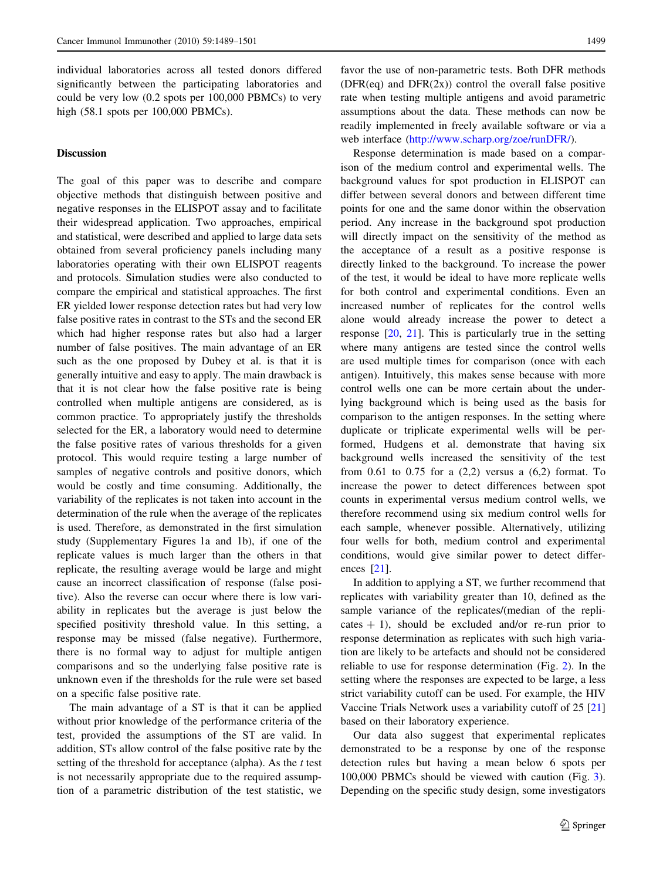<span id="page-10-0"></span>individual laboratories across all tested donors differed significantly between the participating laboratories and could be very low (0.2 spots per 100,000 PBMCs) to very high (58.1 spots per 100,000 PBMCs).

# **Discussion**

The goal of this paper was to describe and compare objective methods that distinguish between positive and negative responses in the ELISPOT assay and to facilitate their widespread application. Two approaches, empirical and statistical, were described and applied to large data sets obtained from several proficiency panels including many laboratories operating with their own ELISPOT reagents and protocols. Simulation studies were also conducted to compare the empirical and statistical approaches. The first ER yielded lower response detection rates but had very low false positive rates in contrast to the STs and the second ER which had higher response rates but also had a larger number of false positives. The main advantage of an ER such as the one proposed by Dubey et al. is that it is generally intuitive and easy to apply. The main drawback is that it is not clear how the false positive rate is being controlled when multiple antigens are considered, as is common practice. To appropriately justify the thresholds selected for the ER, a laboratory would need to determine the false positive rates of various thresholds for a given protocol. This would require testing a large number of samples of negative controls and positive donors, which would be costly and time consuming. Additionally, the variability of the replicates is not taken into account in the determination of the rule when the average of the replicates is used. Therefore, as demonstrated in the first simulation study (Supplementary Figures 1a and 1b), if one of the replicate values is much larger than the others in that replicate, the resulting average would be large and might cause an incorrect classification of response (false positive). Also the reverse can occur where there is low variability in replicates but the average is just below the specified positivity threshold value. In this setting, a response may be missed (false negative). Furthermore, there is no formal way to adjust for multiple antigen comparisons and so the underlying false positive rate is unknown even if the thresholds for the rule were set based on a specific false positive rate.

The main advantage of a ST is that it can be applied without prior knowledge of the performance criteria of the test, provided the assumptions of the ST are valid. In addition, STs allow control of the false positive rate by the setting of the threshold for acceptance (alpha). As the  $t$  test is not necessarily appropriate due to the required assumption of a parametric distribution of the test statistic, we favor the use of non-parametric tests. Both DFR methods (DFR(eq) and DFR $(2x)$ ) control the overall false positive rate when testing multiple antigens and avoid parametric assumptions about the data. These methods can now be readily implemented in freely available software or via a web interface ([http://www.scharp.org/zoe/runDFR/\)](http://www.scharp.org/zoe/runDFR/).

Response determination is made based on a comparison of the medium control and experimental wells. The background values for spot production in ELISPOT can differ between several donors and between different time points for one and the same donor within the observation period. Any increase in the background spot production will directly impact on the sensitivity of the method as the acceptance of a result as a positive response is directly linked to the background. To increase the power of the test, it would be ideal to have more replicate wells for both control and experimental conditions. Even an increased number of replicates for the control wells alone would already increase the power to detect a response [[20,](#page-12-0) [21](#page-12-0)]. This is particularly true in the setting where many antigens are tested since the control wells are used multiple times for comparison (once with each antigen). Intuitively, this makes sense because with more control wells one can be more certain about the underlying background which is being used as the basis for comparison to the antigen responses. In the setting where duplicate or triplicate experimental wells will be performed, Hudgens et al. demonstrate that having six background wells increased the sensitivity of the test from  $0.61$  to  $0.75$  for a  $(2,2)$  versus a  $(6,2)$  format. To increase the power to detect differences between spot counts in experimental versus medium control wells, we therefore recommend using six medium control wells for each sample, whenever possible. Alternatively, utilizing four wells for both, medium control and experimental conditions, would give similar power to detect differences [\[21](#page-12-0)].

In addition to applying a ST, we further recommend that replicates with variability greater than 10, defined as the sample variance of the replicates/(median of the replicates  $+1$ ), should be excluded and/or re-run prior to response determination as replicates with such high variation are likely to be artefacts and should not be considered reliable to use for response determination (Fig. [2](#page-8-0)). In the setting where the responses are expected to be large, a less strict variability cutoff can be used. For example, the HIV Vaccine Trials Network uses a variability cutoff of 25 [[21\]](#page-12-0) based on their laboratory experience.

Our data also suggest that experimental replicates demonstrated to be a response by one of the response detection rules but having a mean below 6 spots per 100,000 PBMCs should be viewed with caution (Fig. [3](#page-9-0)). Depending on the specific study design, some investigators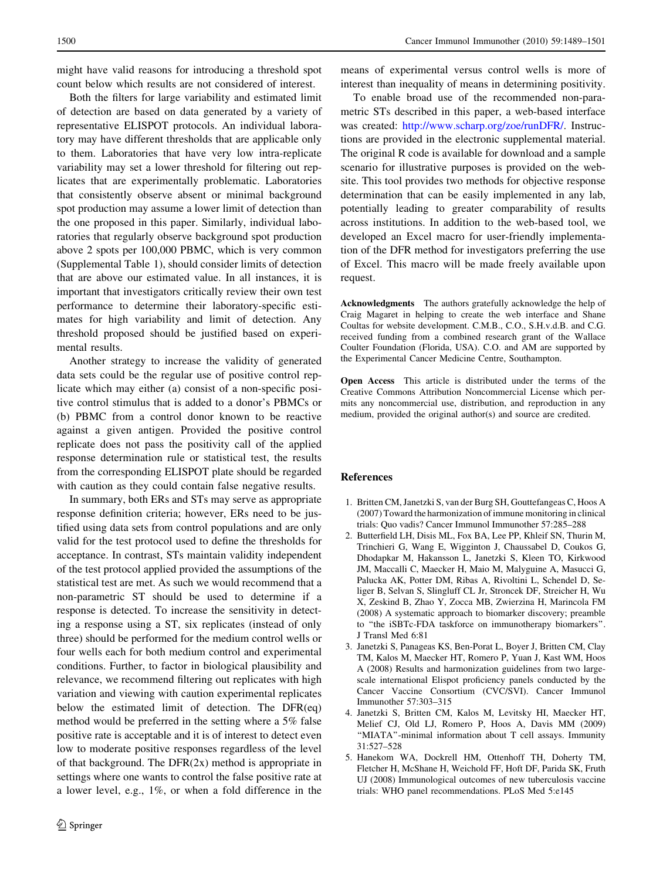<span id="page-11-0"></span>might have valid reasons for introducing a threshold spot count below which results are not considered of interest.

Both the filters for large variability and estimated limit of detection are based on data generated by a variety of representative ELISPOT protocols. An individual laboratory may have different thresholds that are applicable only to them. Laboratories that have very low intra-replicate variability may set a lower threshold for filtering out replicates that are experimentally problematic. Laboratories that consistently observe absent or minimal background spot production may assume a lower limit of detection than the one proposed in this paper. Similarly, individual laboratories that regularly observe background spot production above 2 spots per 100,000 PBMC, which is very common (Supplemental Table 1), should consider limits of detection that are above our estimated value. In all instances, it is important that investigators critically review their own test performance to determine their laboratory-specific estimates for high variability and limit of detection. Any threshold proposed should be justified based on experimental results.

Another strategy to increase the validity of generated data sets could be the regular use of positive control replicate which may either (a) consist of a non-specific positive control stimulus that is added to a donor's PBMCs or (b) PBMC from a control donor known to be reactive against a given antigen. Provided the positive control replicate does not pass the positivity call of the applied response determination rule or statistical test, the results from the corresponding ELISPOT plate should be regarded with caution as they could contain false negative results.

In summary, both ERs and STs may serve as appropriate response definition criteria; however, ERs need to be justified using data sets from control populations and are only valid for the test protocol used to define the thresholds for acceptance. In contrast, STs maintain validity independent of the test protocol applied provided the assumptions of the statistical test are met. As such we would recommend that a non-parametric ST should be used to determine if a response is detected. To increase the sensitivity in detecting a response using a ST, six replicates (instead of only three) should be performed for the medium control wells or four wells each for both medium control and experimental conditions. Further, to factor in biological plausibility and relevance, we recommend filtering out replicates with high variation and viewing with caution experimental replicates below the estimated limit of detection. The DFR(eq) method would be preferred in the setting where a 5% false positive rate is acceptable and it is of interest to detect even low to moderate positive responses regardless of the level of that background. The  $DFR(2x)$  method is appropriate in settings where one wants to control the false positive rate at a lower level, e.g., 1%, or when a fold difference in the

means of experimental versus control wells is more of interest than inequality of means in determining positivity.

To enable broad use of the recommended non-parametric STs described in this paper, a web-based interface was created: [http://www.scharp.org/zoe/runDFR/.](http://www.scharp.org/zoe/runDFR/) Instructions are provided in the electronic supplemental material. The original R code is available for download and a sample scenario for illustrative purposes is provided on the website. This tool provides two methods for objective response determination that can be easily implemented in any lab, potentially leading to greater comparability of results across institutions. In addition to the web-based tool, we developed an Excel macro for user-friendly implementation of the DFR method for investigators preferring the use of Excel. This macro will be made freely available upon request.

Acknowledgments The authors gratefully acknowledge the help of Craig Magaret in helping to create the web interface and Shane Coultas for website development. C.M.B., C.O., S.H.v.d.B. and C.G. received funding from a combined research grant of the Wallace Coulter Foundation (Florida, USA). C.O. and AM are supported by the Experimental Cancer Medicine Centre, Southampton.

Open Access This article is distributed under the terms of the Creative Commons Attribution Noncommercial License which permits any noncommercial use, distribution, and reproduction in any medium, provided the original author(s) and source are credited.

#### References

- 1. Britten CM, Janetzki S, van der Burg SH, Gouttefangeas C, Hoos A (2007) Toward the harmonization of immune monitoring in clinical trials: Quo vadis? Cancer Immunol Immunother 57:285–288
- 2. Butterfield LH, Disis ML, Fox BA, Lee PP, Khleif SN, Thurin M, Trinchieri G, Wang E, Wigginton J, Chaussabel D, Coukos G, Dhodapkar M, Hakansson L, Janetzki S, Kleen TO, Kirkwood JM, Maccalli C, Maecker H, Maio M, Malyguine A, Masucci G, Palucka AK, Potter DM, Ribas A, Rivoltini L, Schendel D, Seliger B, Selvan S, Slingluff CL Jr, Stroncek DF, Streicher H, Wu X, Zeskind B, Zhao Y, Zocca MB, Zwierzina H, Marincola FM (2008) A systematic approach to biomarker discovery; preamble to ''the iSBTc-FDA taskforce on immunotherapy biomarkers''. J Transl Med 6:81
- 3. Janetzki S, Panageas KS, Ben-Porat L, Boyer J, Britten CM, Clay TM, Kalos M, Maecker HT, Romero P, Yuan J, Kast WM, Hoos A (2008) Results and harmonization guidelines from two largescale international Elispot proficiency panels conducted by the Cancer Vaccine Consortium (CVC/SVI). Cancer Immunol Immunother 57:303–315
- 4. Janetzki S, Britten CM, Kalos M, Levitsky HI, Maecker HT, Melief CJ, Old LJ, Romero P, Hoos A, Davis MM (2009) ''MIATA''-minimal information about T cell assays. Immunity 31:527–528
- 5. Hanekom WA, Dockrell HM, Ottenhoff TH, Doherty TM, Fletcher H, McShane H, Weichold FF, Hoft DF, Parida SK, Fruth UJ (2008) Immunological outcomes of new tuberculosis vaccine trials: WHO panel recommendations. PLoS Med 5:e145